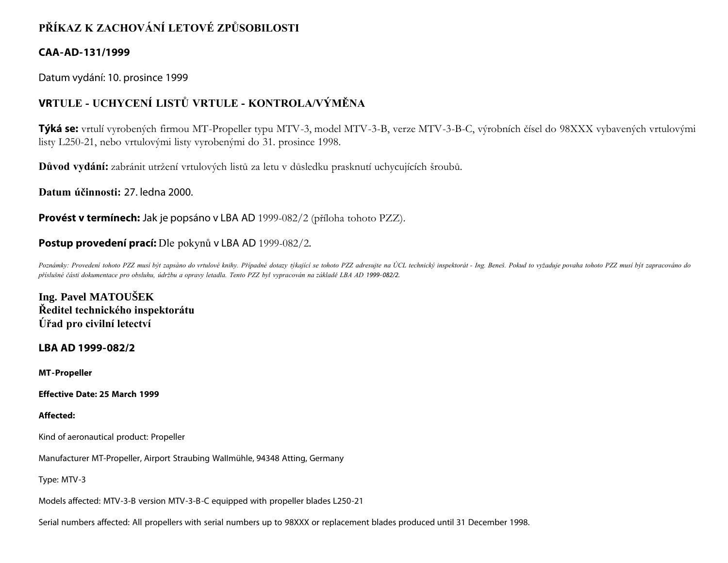# **PŘÍKAZ K ZACHOVÁNÍ LETOVÉ ZPŮSOBILOSTI**

# **CAA-AD-131/1999**

Datum vydání: 10. prosince 1999

# **VRTULE - UCHYCENÍ LISTŮ VRTULE - KONTROLA/VÝMĚNA**

**Týká se:** vrtulí vyrobených firmou MT-Propeller typu MTV-3, model MTV-3-B, verze MTV-3-B-C, výrobních čísel do 98XXX vybavených vrtulovými listy L250-21, nebo vrtulovými listy vyrobenými do 31. prosince 1998.

**Důvod vydání:** zabránit utržení vrtulových listů za letu v důsledku prasknutí uchycujících šroubů.

**Datum účinnosti:** 27. ledna 2000.

**Provést v termínech:** Jak je popsáno v LBA AD 1999-082/2 (příloha tohoto PZZ).

## **Postup provedení prací:** Dle pokynů v LBA AD 1999-082/2.

Poznámky: Provedení tohoto PZZ musí být zapsáno do vrtulové knihy. Případné dotazy týkající se tohoto PZZ adresujte na ÚCL technický inspektorát - Ing. Beneš. Pokud to vyžaduje povaha tohoto PZZ musí být zapracováno do *příslušné části dokumentace pro obsluhu, údržbu a opravy letadla. Tento PZZ byl vypracován na základě LBA AD 1999-082/2.*

**Ing. Pavel MATOUŠEK Ředitel technického inspektorátu Úřad pro civilní letectví**

**LBA AD 1999-082/2**

**MT-Propeller**

**Effective Date: 25 March 1999**

## **Affected:**

Kind of aeronautical product: Propeller

Manufacturer MT-Propeller, Airport Straubing WaIImühle, 94348 Atting, Germany

Type: MTV-3

Models affected: MTV-3-B version MTV-3-B-C equipped with propeller blades L250-21

Serial numbers affected: All propellers with serial numbers up to 98XXX or replacement blades produced until 31 December 1998.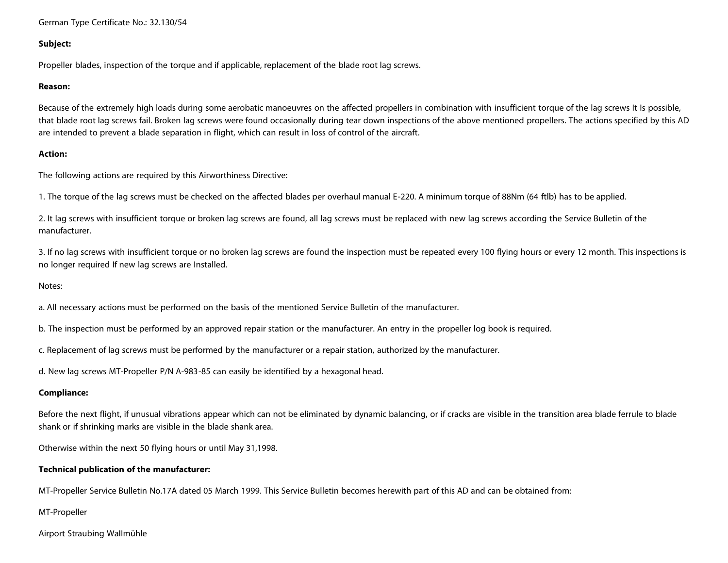German Type Certificate No.: 32.130/54

#### **Subject:**

Propeller blades, inspection of the torque and if applicable, replacement of the blade root lag screws.

#### **Reason:**

Because of the extremely high loads during some aerobatic manoeuvres on the affected propellers in combination with insufficient torque of the lag screws It Is possible, that blade root lag screws fail. Broken lag screws were found occasionally during tear down inspections of the above mentioned propellers. The actions specified by this AD are intended to prevent a blade separation in flight, which can result in loss of control of the aircraft.

#### **Action:**

The following actions are required by this Airworthiness Directive:

1. The torque of the lag screws must be checked on the affected blades per overhaul manual E-220. A minimum torque of 88Nm (64 ftlb) has to be applied.

2. It lag screws with insufficient torque or broken lag screws are found, all lag screws must be replaced with new lag screws according the Service Bulletin of the manufacturer.

3. If no lag screws with insufficient torque or no broken lag screws are found the inspection must be repeated every 100 flying hours or every 12 month. This inspections is no longer required If new lag screws are Installed.

#### Notes:

a. All necessary actions must be performed on the basis of the mentioned Service Bulletin of the manufacturer.

b. The inspection must be performed by an approved repair station or the manufacturer. An entry in the propeller log book is required.

c. Replacement of lag screws must be performed by the manufacturer or a repair station, authorized by the manufacturer.

d. New lag screws MT-Propeller P/N A-983-85 can easily be identified by a hexagonal head.

### **Compliance:**

Before the next flight, if unusual vibrations appear which can not be eliminated by dynamic balancing, or if cracks are visible in the transition area blade ferrule to blade shank or if shrinking marks are visible in the blade shank area.

Otherwise within the next 50 flying hours or until May 31,1998.

### **Technical publication of the manufacturer:**

MT-Propeller Service Bulletin No.17A dated 05 March 1999. This Service Bulletin becomes herewith part of this AD and can be obtained from:

MT-Propeller

#### Airport Straubing WaIImühle